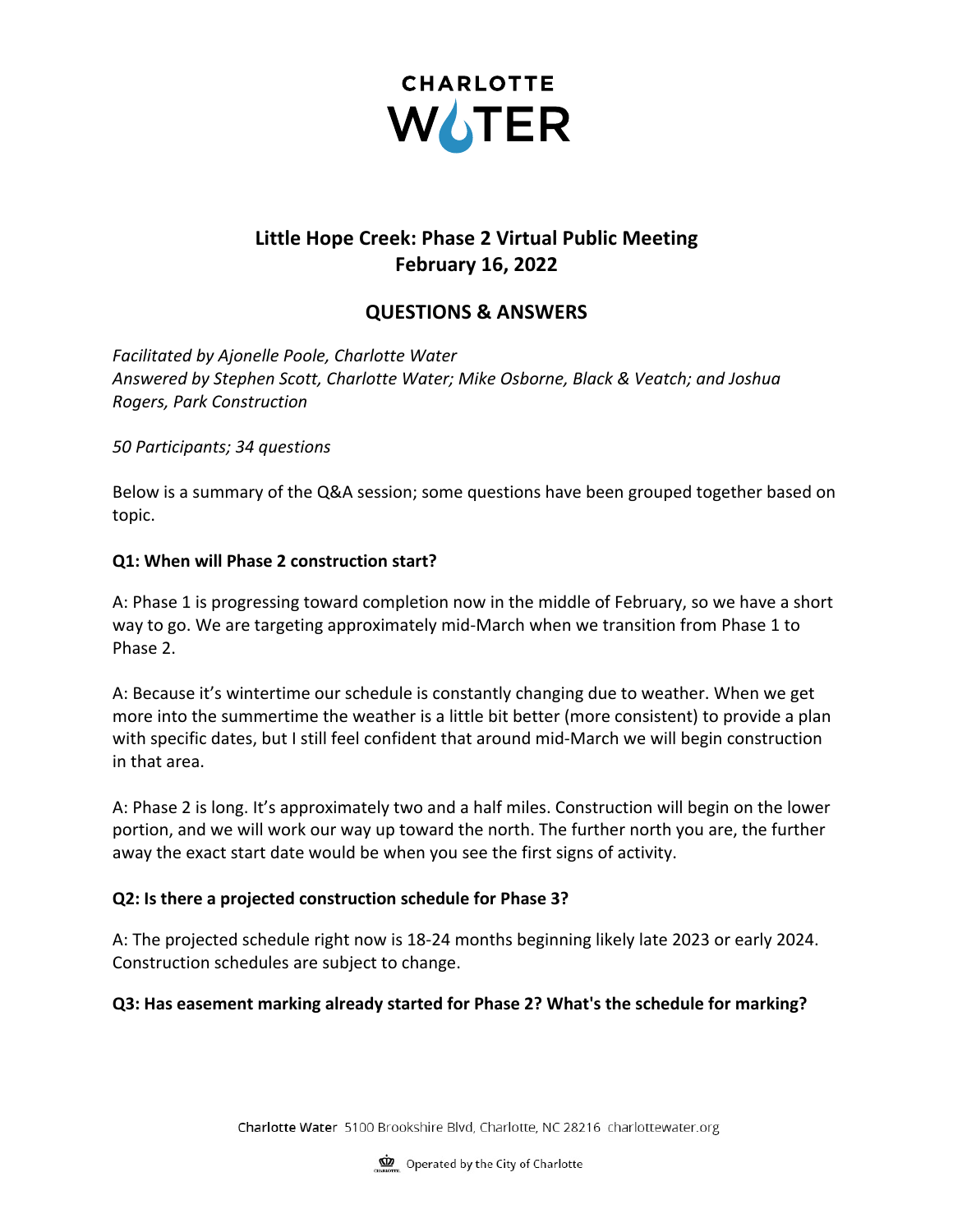

# **Little Hope Creek: Phase 2 Virtual Public Meeting February 16, 2022**

## **QUESTIONS & ANSWERS**

*Facilitated by Ajonelle Poole, Charlotte Water Answered by Stephen Scott, Charlotte Water; Mike Osborne, Black & Veatch; and Joshua Rogers, Park Construction*

#### *50 Participants; 34 questions*

Below is a summary of the Q&A session; some questions have been grouped together based on topic.

#### **Q1: When will Phase 2 construction start?**

A: Phase 1 is progressing toward completion now in the middle of February, so we have a short way to go. We are targeting approximately mid-March when we transition from Phase 1 to Phase 2.

A: Because it's wintertime our schedule is constantly changing due to weather. When we get more into the summertime the weather is a little bit better (more consistent) to provide a plan with specific dates, but I still feel confident that around mid-March we will begin construction in that area.

A: Phase 2 is long. It's approximately two and a half miles. Construction will begin on the lower portion, and we will work our way up toward the north. The further north you are, the further away the exact start date would be when you see the first signs of activity.

#### **Q2: Is there a projected construction schedule for Phase 3?**

A: The projected schedule right now is 18-24 months beginning likely late 2023 or early 2024. Construction schedules are subject to change.

#### **Q3: Has easement marking already started for Phase 2? What's the schedule for marking?**

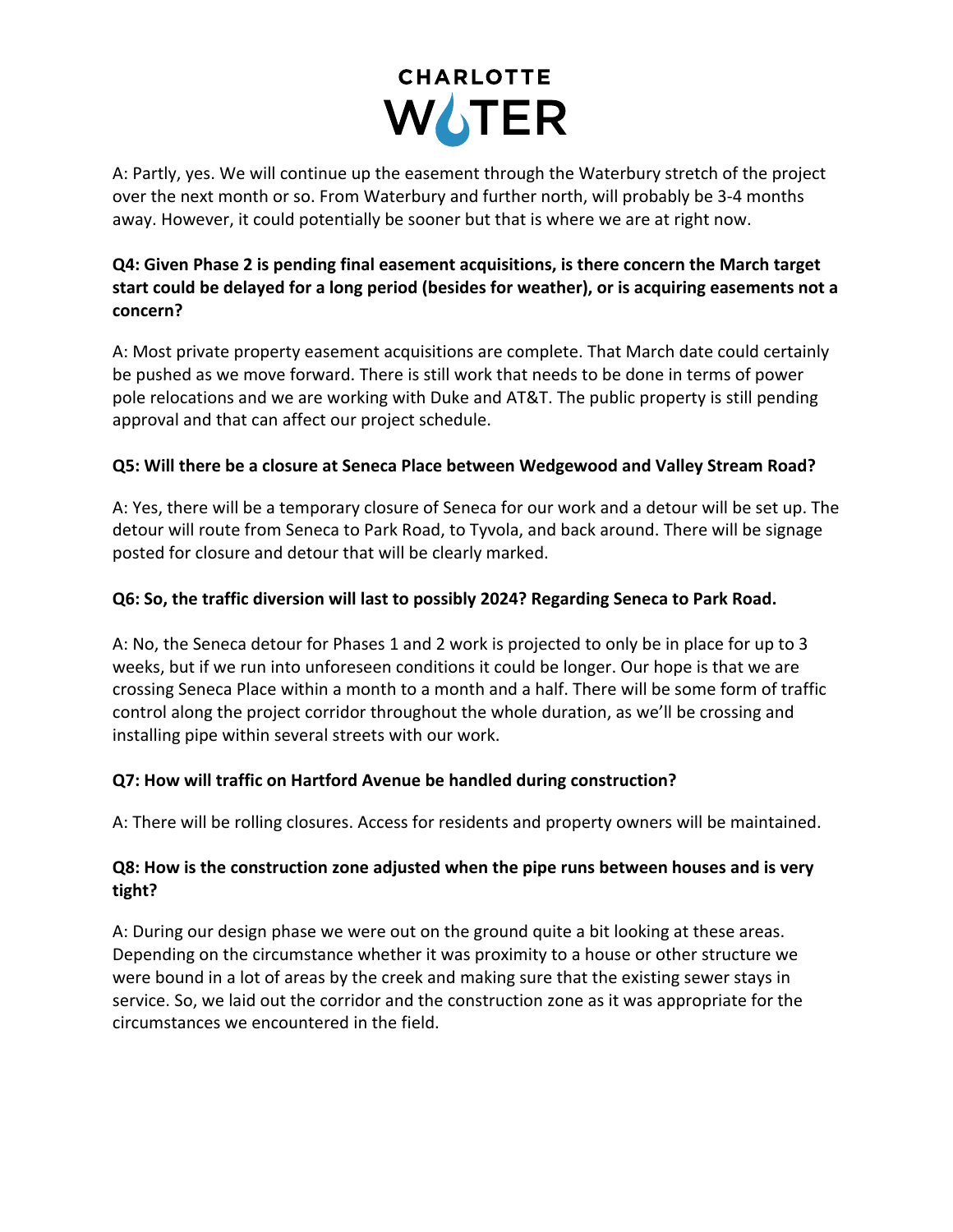

A: Partly, yes. We will continue up the easement through the Waterbury stretch of the project over the next month or so. From Waterbury and further north, will probably be 3-4 months away. However, it could potentially be sooner but that is where we are at right now.

### **Q4: Given Phase 2 is pending final easement acquisitions, is there concern the March target start could be delayed for a long period (besides for weather), or is acquiring easements not a concern?**

A: Most private property easement acquisitions are complete. That March date could certainly be pushed as we move forward. There is still work that needs to be done in terms of power pole relocations and we are working with Duke and AT&T. The public property is still pending approval and that can affect our project schedule.

### **Q5: Will there be a closure at Seneca Place between Wedgewood and Valley Stream Road?**

A: Yes, there will be a temporary closure of Seneca for our work and a detour will be set up. The detour will route from Seneca to Park Road, to Tyvola, and back around. There will be signage posted for closure and detour that will be clearly marked.

### **Q6: So, the traffic diversion will last to possibly 2024? Regarding Seneca to Park Road.**

A: No, the Seneca detour for Phases 1 and 2 work is projected to only be in place for up to 3 weeks, but if we run into unforeseen conditions it could be longer. Our hope is that we are crossing Seneca Place within a month to a month and a half. There will be some form of traffic control along the project corridor throughout the whole duration, as we'll be crossing and installing pipe within several streets with our work.

#### **Q7: How will traffic on Hartford Avenue be handled during construction?**

A: There will be rolling closures. Access for residents and property owners will be maintained.

### **Q8: How is the construction zone adjusted when the pipe runs between houses and is very tight?**

A: During our design phase we were out on the ground quite a bit looking at these areas. Depending on the circumstance whether it was proximity to a house or other structure we were bound in a lot of areas by the creek and making sure that the existing sewer stays in service. So, we laid out the corridor and the construction zone as it was appropriate for the circumstances we encountered in the field.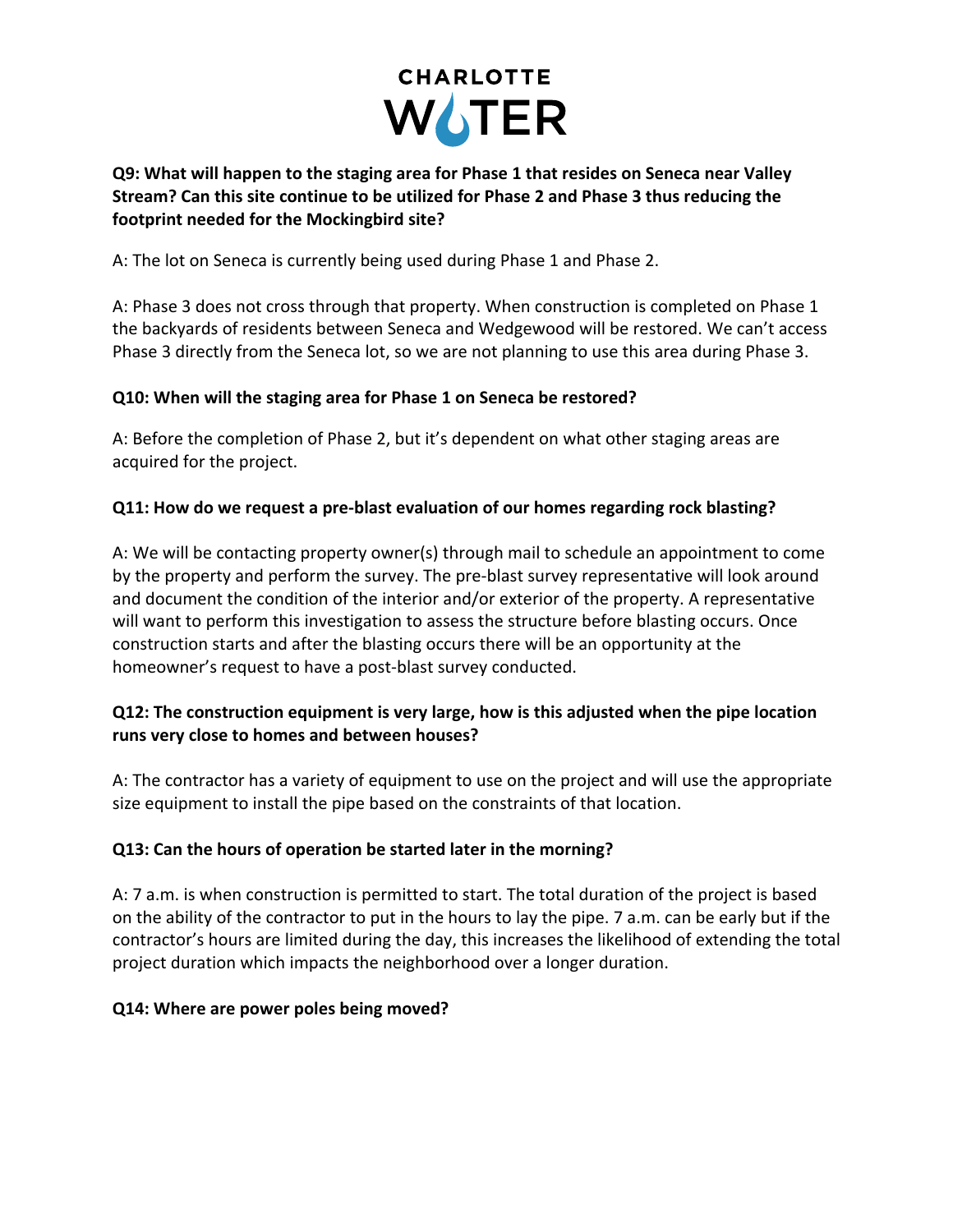

#### **Q9: What will happen to the staging area for Phase 1 that resides on Seneca near Valley Stream? Can this site continue to be utilized for Phase 2 and Phase 3 thus reducing the footprint needed for the Mockingbird site?**

A: The lot on Seneca is currently being used during Phase 1 and Phase 2.

A: Phase 3 does not cross through that property. When construction is completed on Phase 1 the backyards of residents between Seneca and Wedgewood will be restored. We can't access Phase 3 directly from the Seneca lot, so we are not planning to use this area during Phase 3.

### **Q10: When will the staging area for Phase 1 on Seneca be restored?**

A: Before the completion of Phase 2, but it's dependent on what other staging areas are acquired for the project.

### **Q11: How do we request a pre-blast evaluation of our homes regarding rock blasting?**

A: We will be contacting property owner(s) through mail to schedule an appointment to come by the property and perform the survey. The pre-blast survey representative will look around and document the condition of the interior and/or exterior of the property. A representative will want to perform this investigation to assess the structure before blasting occurs. Once construction starts and after the blasting occurs there will be an opportunity at the homeowner's request to have a post-blast survey conducted.

### **Q12: The construction equipment is very large, how is this adjusted when the pipe location runs very close to homes and between houses?**

A: The contractor has a variety of equipment to use on the project and will use the appropriate size equipment to install the pipe based on the constraints of that location.

## **Q13: Can the hours of operation be started later in the morning?**

A: 7 a.m. is when construction is permitted to start. The total duration of the project is based on the ability of the contractor to put in the hours to lay the pipe. 7 a.m. can be early but if the contractor's hours are limited during the day, this increases the likelihood of extending the total project duration which impacts the neighborhood over a longer duration.

#### **Q14: Where are power poles being moved?**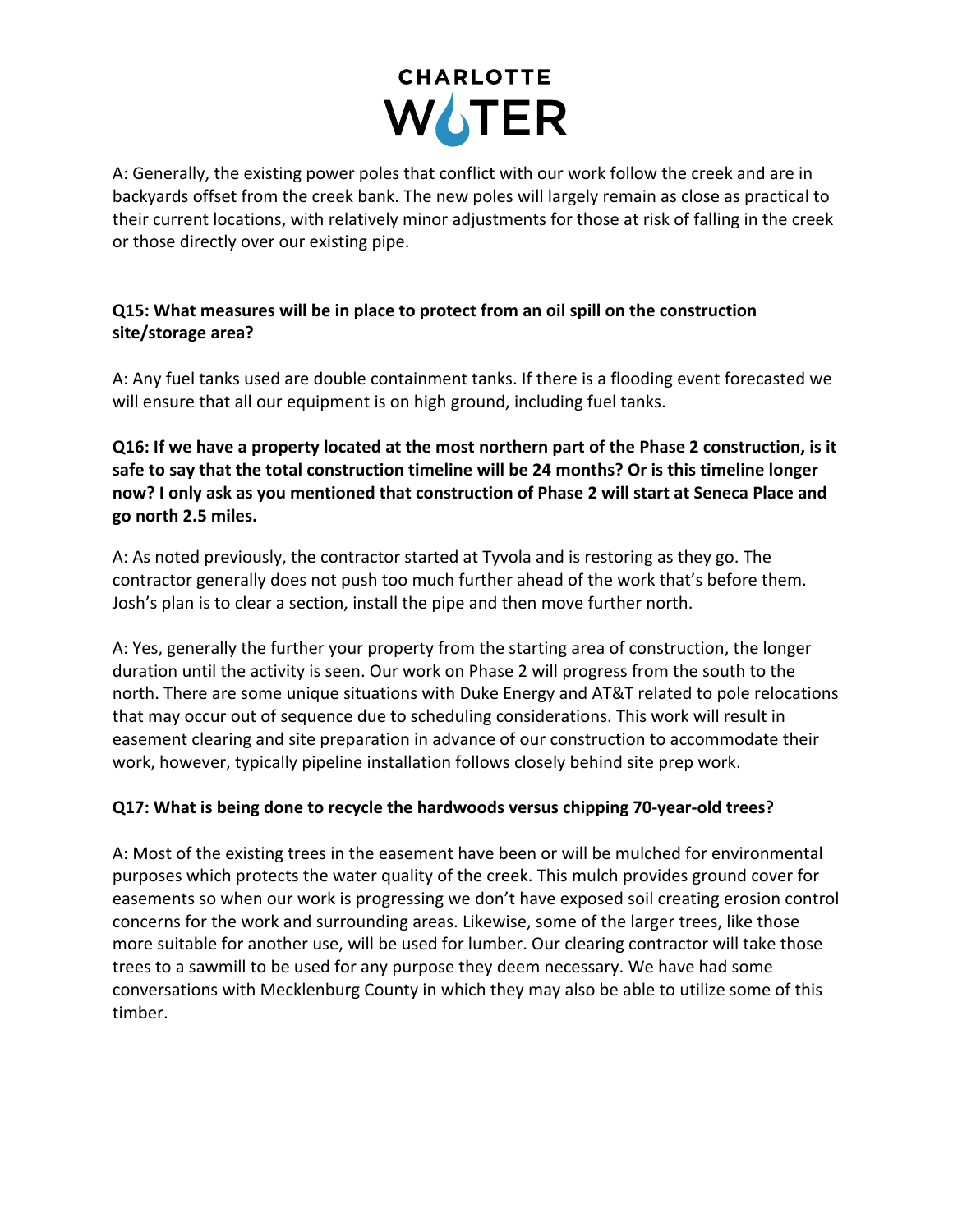

A: Generally, the existing power poles that conflict with our work follow the creek and are in backyards offset from the creek bank. The new poles will largely remain as close as practical to their current locations, with relatively minor adjustments for those at risk of falling in the creek or those directly over our existing pipe.

## **Q15: What measures will be in place to protect from an oil spill on the construction site/storage area?**

A: Any fuel tanks used are double containment tanks. If there is a flooding event forecasted we will ensure that all our equipment is on high ground, including fuel tanks.

**Q16: If we have a property located at the most northern part of the Phase 2 construction, is it safe to say that the total construction timeline will be 24 months? Or is this timeline longer now? I only ask as you mentioned that construction of Phase 2 will start at Seneca Place and go north 2.5 miles.**

A: As noted previously, the contractor started at Tyvola and is restoring as they go. The contractor generally does not push too much further ahead of the work that's before them. Josh's plan is to clear a section, install the pipe and then move further north.

A: Yes, generally the further your property from the starting area of construction, the longer duration until the activity is seen. Our work on Phase 2 will progress from the south to the north. There are some unique situations with Duke Energy and AT&T related to pole relocations that may occur out of sequence due to scheduling considerations. This work will result in easement clearing and site preparation in advance of our construction to accommodate their work, however, typically pipeline installation follows closely behind site prep work.

#### **Q17: What is being done to recycle the hardwoods versus chipping 70-year-old trees?**

A: Most of the existing trees in the easement have been or will be mulched for environmental purposes which protects the water quality of the creek. This mulch provides ground cover for easements so when our work is progressing we don't have exposed soil creating erosion control concerns for the work and surrounding areas. Likewise, some of the larger trees, like those more suitable for another use, will be used for lumber. Our clearing contractor will take those trees to a sawmill to be used for any purpose they deem necessary. We have had some conversations with Mecklenburg County in which they may also be able to utilize some of this timber.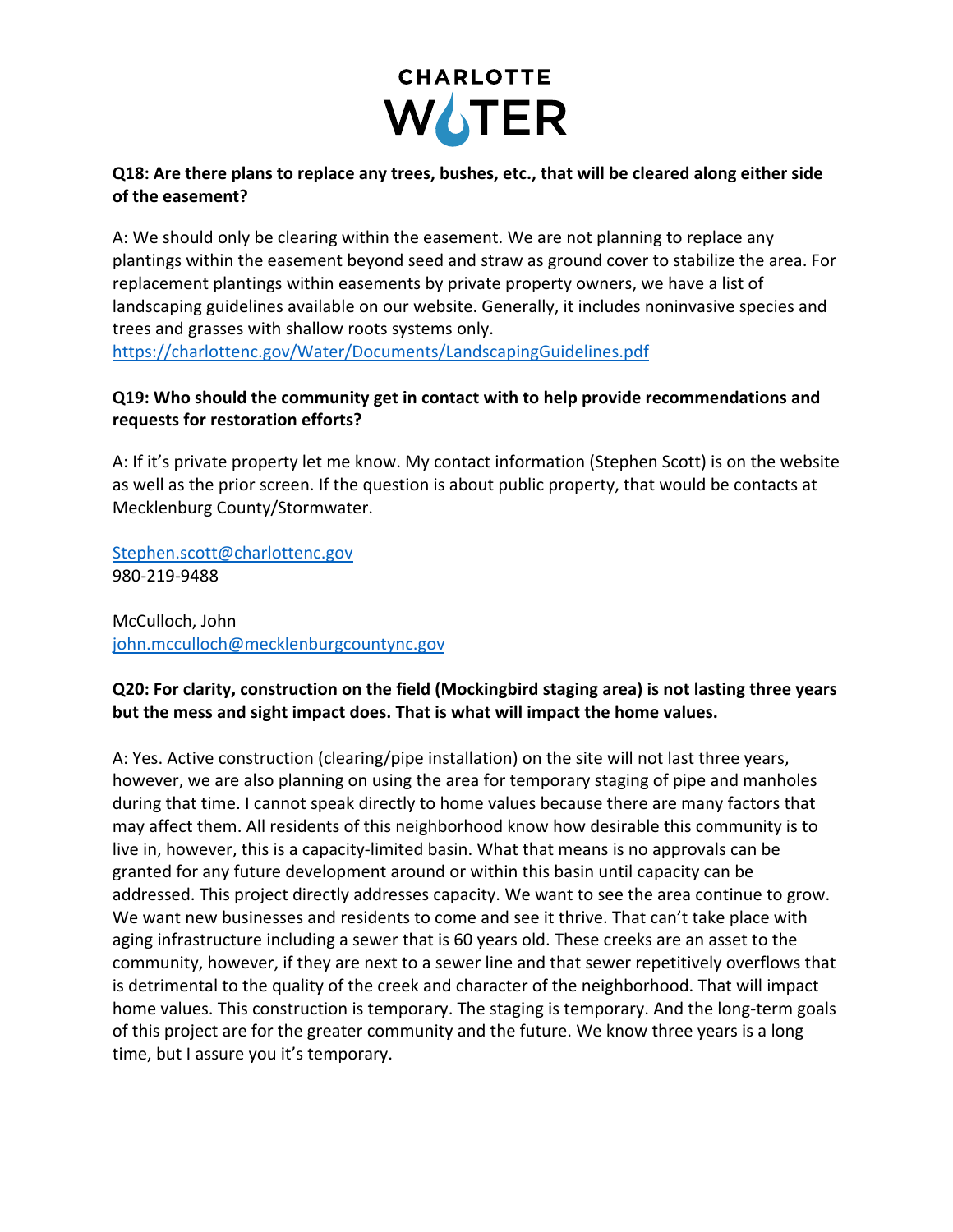

#### **Q18: Are there plans to replace any trees, bushes, etc., that will be cleared along either side of the easement?**

A: We should only be clearing within the easement. We are not planning to replace any plantings within the easement beyond seed and straw as ground cover to stabilize the area. For replacement plantings within easements by private property owners, we have a list of landscaping guidelines available on our website. Generally, it includes noninvasive species and trees and grasses with shallow roots systems only.

https://charlottenc.gov/Water/Documents/LandscapingGuidelines.pdf

### **Q19: Who should the community get in contact with to help provide recommendations and requests for restoration efforts?**

A: If it's private property let me know. My contact information (Stephen Scott) is on the website as well as the prior screen. If the question is about public property, that would be contacts at Mecklenburg County/Stormwater.

Stephen.scott@charlottenc.gov 980-219-9488

McCulloch, John john.mcculloch@mecklenburgcountync.gov

### **Q20: For clarity, construction on the field (Mockingbird staging area) is not lasting three years but the mess and sight impact does. That is what will impact the home values.**

A: Yes. Active construction (clearing/pipe installation) on the site will not last three years, however, we are also planning on using the area for temporary staging of pipe and manholes during that time. I cannot speak directly to home values because there are many factors that may affect them. All residents of this neighborhood know how desirable this community is to live in, however, this is a capacity-limited basin. What that means is no approvals can be granted for any future development around or within this basin until capacity can be addressed. This project directly addresses capacity. We want to see the area continue to grow. We want new businesses and residents to come and see it thrive. That can't take place with aging infrastructure including a sewer that is 60 years old. These creeks are an asset to the community, however, if they are next to a sewer line and that sewer repetitively overflows that is detrimental to the quality of the creek and character of the neighborhood. That will impact home values. This construction is temporary. The staging is temporary. And the long-term goals of this project are for the greater community and the future. We know three years is a long time, but I assure you it's temporary.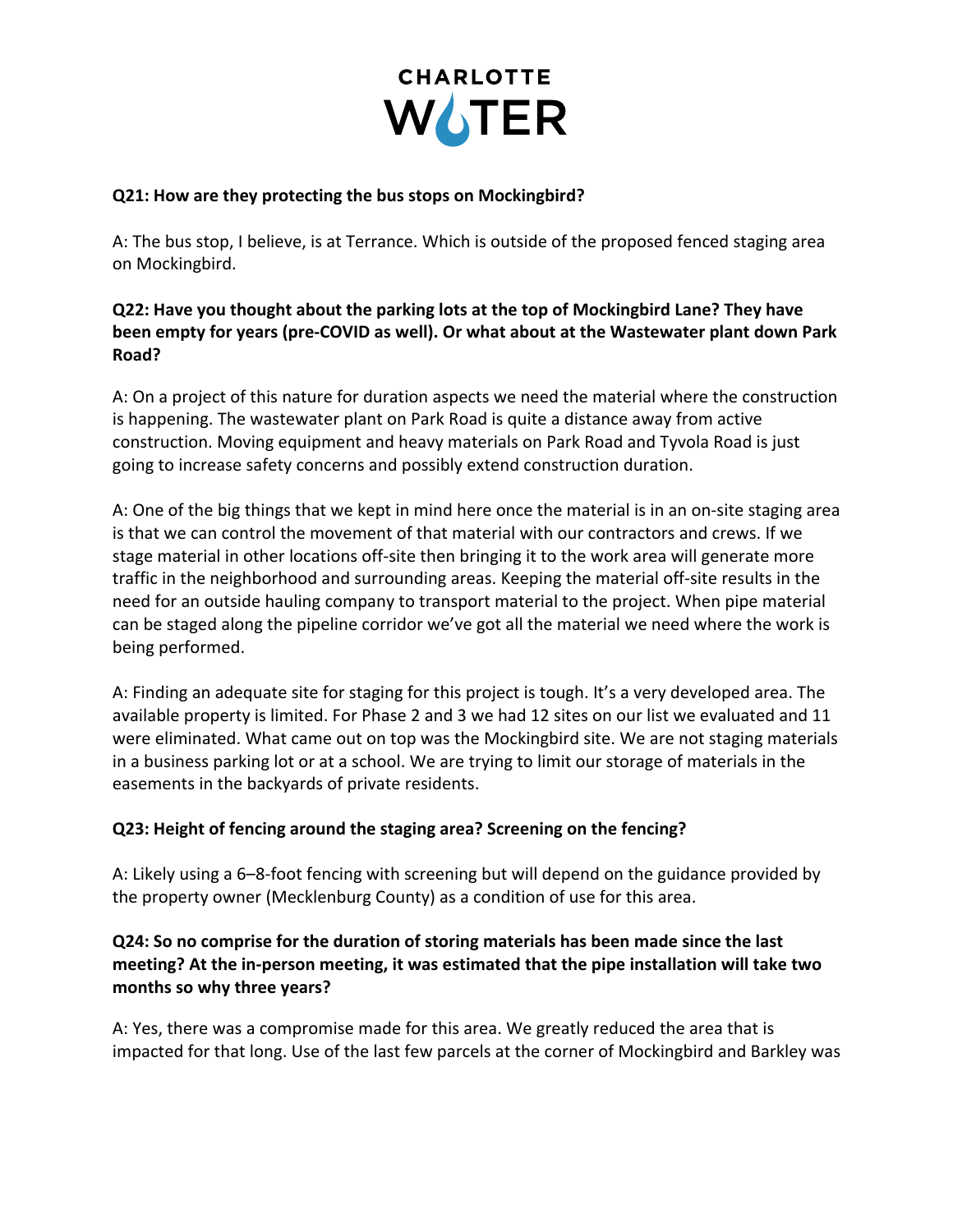

#### **Q21: How are they protecting the bus stops on Mockingbird?**

A: The bus stop, I believe, is at Terrance. Which is outside of the proposed fenced staging area on Mockingbird.

### **Q22: Have you thought about the parking lots at the top of Mockingbird Lane? They have been empty for years (pre-COVID as well). Or what about at the Wastewater plant down Park Road?**

A: On a project of this nature for duration aspects we need the material where the construction is happening. The wastewater plant on Park Road is quite a distance away from active construction. Moving equipment and heavy materials on Park Road and Tyvola Road is just going to increase safety concerns and possibly extend construction duration.

A: One of the big things that we kept in mind here once the material is in an on-site staging area is that we can control the movement of that material with our contractors and crews. If we stage material in other locations off-site then bringing it to the work area will generate more traffic in the neighborhood and surrounding areas. Keeping the material off-site results in the need for an outside hauling company to transport material to the project. When pipe material can be staged along the pipeline corridor we've got all the material we need where the work is being performed.

A: Finding an adequate site for staging for this project is tough. It's a very developed area. The available property is limited. For Phase 2 and 3 we had 12 sites on our list we evaluated and 11 were eliminated. What came out on top was the Mockingbird site. We are not staging materials in a business parking lot or at a school. We are trying to limit our storage of materials in the easements in the backyards of private residents.

#### **Q23: Height of fencing around the staging area? Screening on the fencing?**

A: Likely using a 6–8-foot fencing with screening but will depend on the guidance provided by the property owner (Mecklenburg County) as a condition of use for this area.

#### **Q24: So no comprise for the duration of storing materials has been made since the last meeting? At the in-person meeting, it was estimated that the pipe installation will take two months so why three years?**

A: Yes, there was a compromise made for this area. We greatly reduced the area that is impacted for that long. Use of the last few parcels at the corner of Mockingbird and Barkley was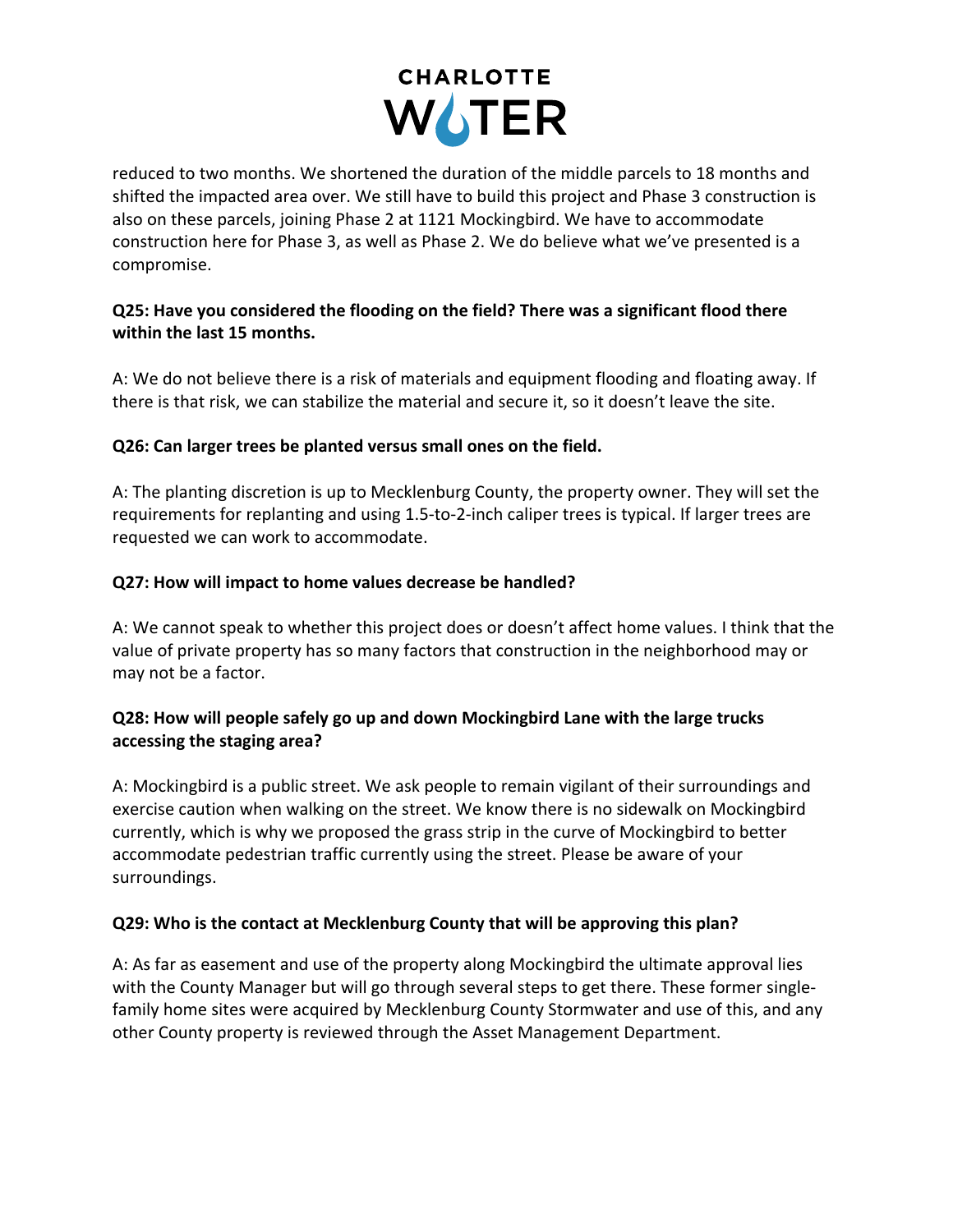

reduced to two months. We shortened the duration of the middle parcels to 18 months and shifted the impacted area over. We still have to build this project and Phase 3 construction is also on these parcels, joining Phase 2 at 1121 Mockingbird. We have to accommodate construction here for Phase 3, as well as Phase 2. We do believe what we've presented is a compromise.

### **Q25: Have you considered the flooding on the field? There was a significant flood there within the last 15 months.**

A: We do not believe there is a risk of materials and equipment flooding and floating away. If there is that risk, we can stabilize the material and secure it, so it doesn't leave the site.

### **Q26: Can larger trees be planted versus small ones on the field.**

A: The planting discretion is up to Mecklenburg County, the property owner. They will set the requirements for replanting and using 1.5-to-2-inch caliper trees is typical. If larger trees are requested we can work to accommodate.

### **Q27: How will impact to home values decrease be handled?**

A: We cannot speak to whether this project does or doesn't affect home values. I think that the value of private property has so many factors that construction in the neighborhood may or may not be a factor.

### **Q28: How will people safely go up and down Mockingbird Lane with the large trucks accessing the staging area?**

A: Mockingbird is a public street. We ask people to remain vigilant of their surroundings and exercise caution when walking on the street. We know there is no sidewalk on Mockingbird currently, which is why we proposed the grass strip in the curve of Mockingbird to better accommodate pedestrian traffic currently using the street. Please be aware of your surroundings.

## **Q29: Who is the contact at Mecklenburg County that will be approving this plan?**

A: As far as easement and use of the property along Mockingbird the ultimate approval lies with the County Manager but will go through several steps to get there. These former singlefamily home sites were acquired by Mecklenburg County Stormwater and use of this, and any other County property is reviewed through the Asset Management Department.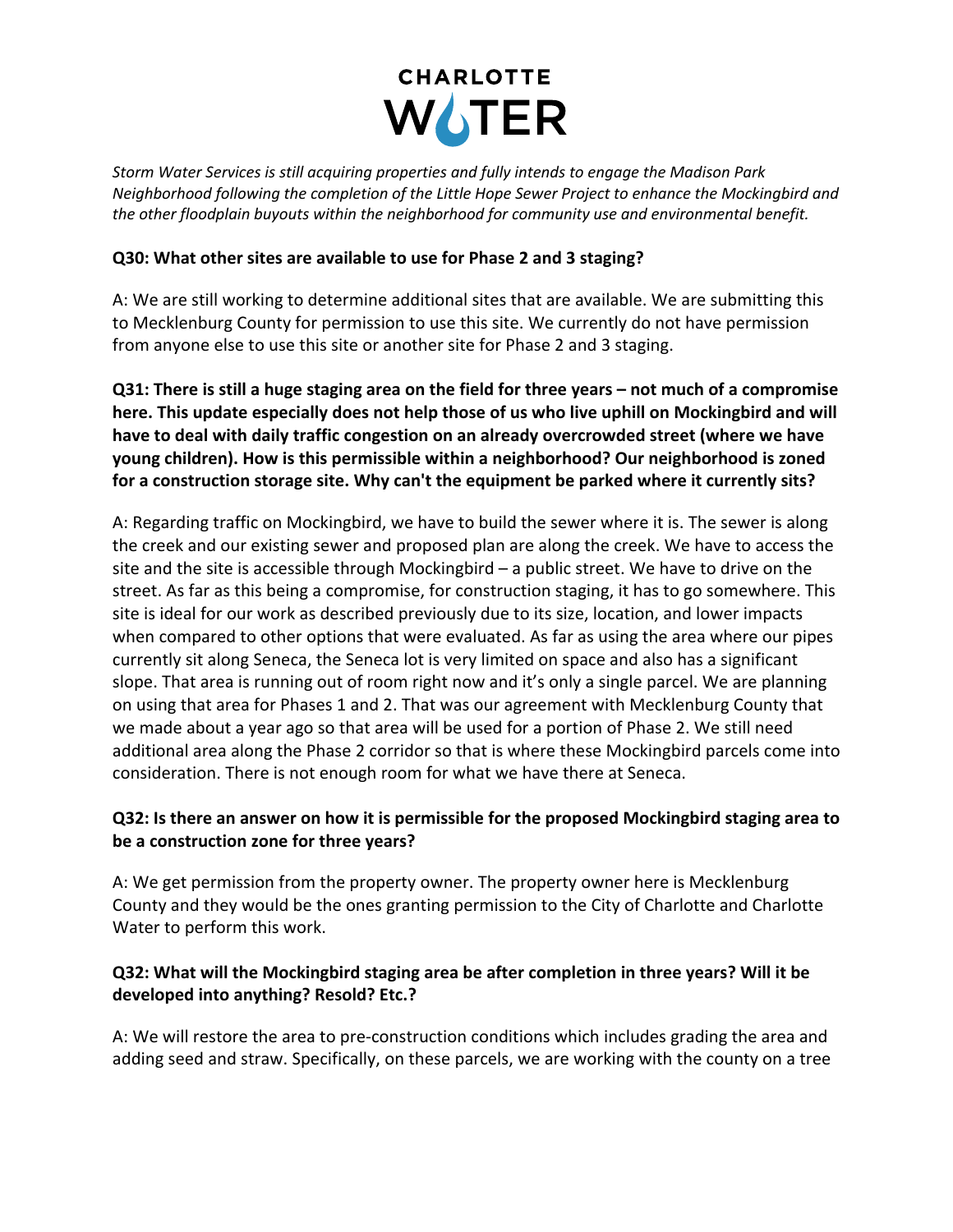

*Storm Water Services is still acquiring properties and fully intends to engage the Madison Park Neighborhood following the completion of the Little Hope Sewer Project to enhance the Mockingbird and the other floodplain buyouts within the neighborhood for community use and environmental benefit.*

#### **Q30: What other sites are available to use for Phase 2 and 3 staging?**

A: We are still working to determine additional sites that are available. We are submitting this to Mecklenburg County for permission to use this site. We currently do not have permission from anyone else to use this site or another site for Phase 2 and 3 staging.

**Q31: There is still a huge staging area on the field for three years – not much of a compromise here. This update especially does not help those of us who live uphill on Mockingbird and will have to deal with daily traffic congestion on an already overcrowded street (where we have young children). How is this permissible within a neighborhood? Our neighborhood is zoned for a construction storage site. Why can't the equipment be parked where it currently sits?**

A: Regarding traffic on Mockingbird, we have to build the sewer where it is. The sewer is along the creek and our existing sewer and proposed plan are along the creek. We have to access the site and the site is accessible through Mockingbird – a public street. We have to drive on the street. As far as this being a compromise, for construction staging, it has to go somewhere. This site is ideal for our work as described previously due to its size, location, and lower impacts when compared to other options that were evaluated. As far as using the area where our pipes currently sit along Seneca, the Seneca lot is very limited on space and also has a significant slope. That area is running out of room right now and it's only a single parcel. We are planning on using that area for Phases 1 and 2. That was our agreement with Mecklenburg County that we made about a year ago so that area will be used for a portion of Phase 2. We still need additional area along the Phase 2 corridor so that is where these Mockingbird parcels come into consideration. There is not enough room for what we have there at Seneca.

#### **Q32: Is there an answer on how it is permissible for the proposed Mockingbird staging area to be a construction zone for three years?**

A: We get permission from the property owner. The property owner here is Mecklenburg County and they would be the ones granting permission to the City of Charlotte and Charlotte Water to perform this work.

### **Q32: What will the Mockingbird staging area be after completion in three years? Will it be developed into anything? Resold? Etc.?**

A: We will restore the area to pre-construction conditions which includes grading the area and adding seed and straw. Specifically, on these parcels, we are working with the county on a tree